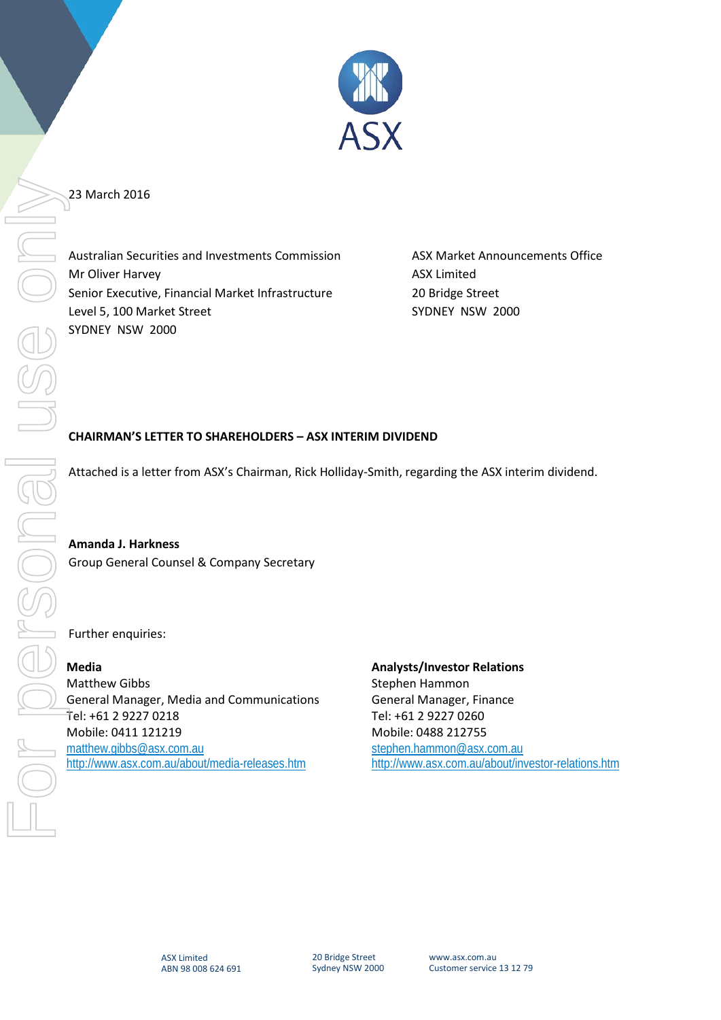

## 23 March 2016

Australian Securities and Investments Commission ASX Market Announcements Office Mr Oliver Harvey **ASX Limited** Senior Executive, Financial Market Infrastructure 20 Bridge Street Level 5, 100 Market Street Street Supervisory SYDNEY NSW 2000 SYDNEY NSW 2000

## **CHAIRMAN'S LETTER TO SHAREHOLDERS – ASX INTERIM DIVIDEND**

Attached is a letter from ASX's Chairman, Rick Holliday-Smith, regarding the ASX interim dividend.

**Amanda J. Harkness** Group General Counsel & Company Secretary

Further enquiries:

**Media** Matthew Gibbs General Manager, Media and Communications Tel: +61 2 9227 0218 Mobile: 0411 121219 [matthew.gibbs@asx.com.au](mailto:matthew.gibbs@asx.com.au) <http://www.asx.com.au/about/media-releases.htm>

**Analysts/Investor Relations** Stephen Hammon General Manager, Finance Tel: +61 2 9227 0260 Mobile: 0488 212755 [stephen.hammon@asx.com.au](mailto:stephen.hammon@asx.com.au) <http://www.asx.com.au/about/investor-relations.htm>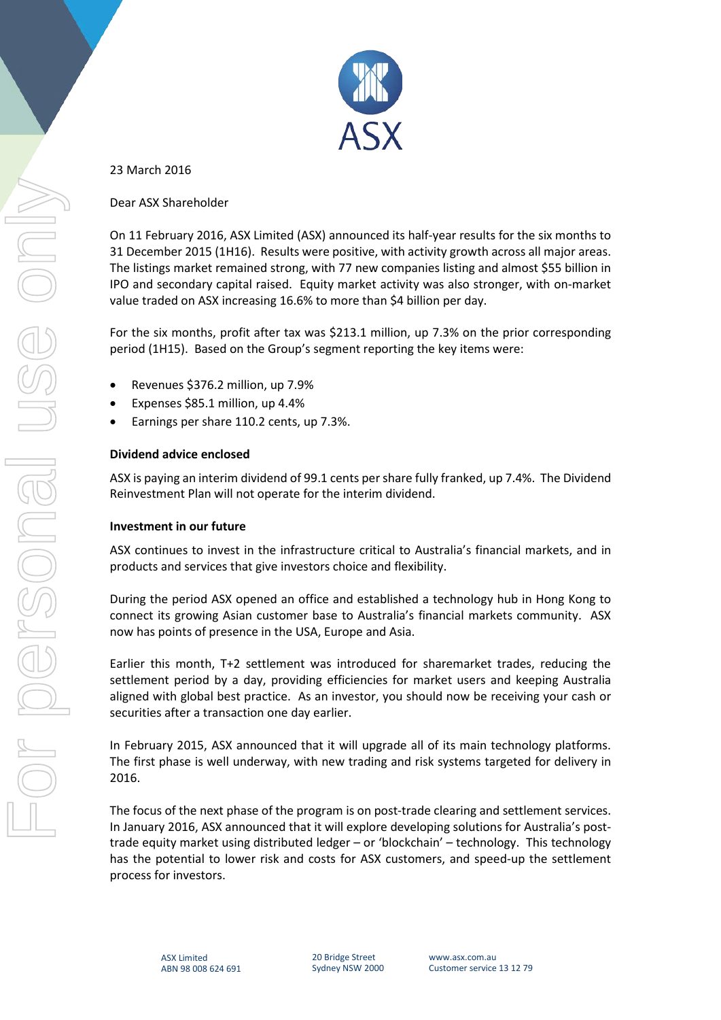

23 March 2016

Dear ASX Shareholder

On 11 February 2016, ASX Limited (ASX) announced its half-year results for the six months to 31 December 2015 (1H16). Results were positive, with activity growth across all major areas. The listings market remained strong, with 77 new companies listing and almost \$55 billion in IPO and secondary capital raised. Equity market activity was also stronger, with on-market value traded on ASX increasing 16.6% to more than \$4 billion per day.

For the six months, profit after tax was \$213.1 million, up 7.3% on the prior corresponding period (1H15). Based on the Group's segment reporting the key items were:

- Revenues \$376.2 million, up 7.9%
- Expenses \$85.1 million, up 4.4%
- Earnings per share 110.2 cents, up 7.3%.

## **Dividend advice enclosed**

ASX is paying an interim dividend of 99.1 cents per share fully franked, up 7.4%. The Dividend Reinvestment Plan will not operate for the interim dividend.

## **Investment in our future**

ASX continues to invest in the infrastructure critical to Australia's financial markets, and in products and services that give investors choice and flexibility.

During the period ASX opened an office and established a technology hub in Hong Kong to connect its growing Asian customer base to Australia's financial markets community. ASX now has points of presence in the USA, Europe and Asia.

Earlier this month, T+2 settlement was introduced for sharemarket trades, reducing the settlement period by a day, providing efficiencies for market users and keeping Australia aligned with global best practice. As an investor, you should now be receiving your cash or securities after a transaction one day earlier.

In February 2015, ASX announced that it will upgrade all of its main technology platforms. The first phase is well underway, with new trading and risk systems targeted for delivery in 2016.

The focus of the next phase of the program is on post-trade clearing and settlement services. In January 2016, ASX announced that it will explore developing solutions for Australia's posttrade equity market using distributed ledger – or 'blockchain' – technology. This technology has the potential to lower risk and costs for ASX customers, and speed-up the settlement process for investors.